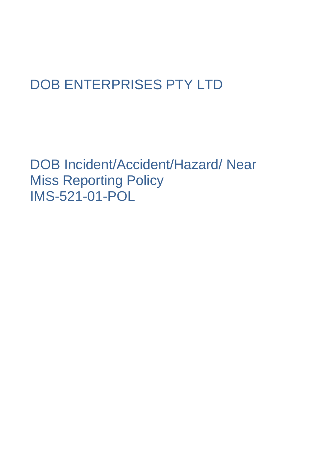# DOB ENTERPRISES PTY LTD

DOB Incident/Accident/Hazard/ Near Miss Reporting Policy IMS-521-01-POL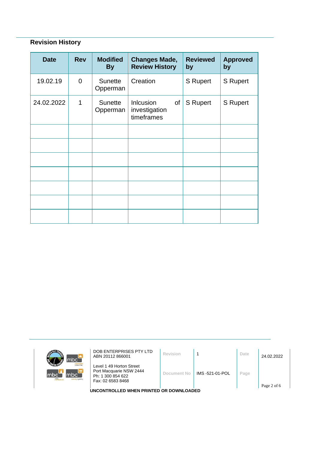# **Revision History**

| <b>Date</b> | <b>Rev</b>     | <b>Modified</b><br><b>By</b> | <b>Changes Made,</b><br><b>Review History</b>         | <b>Reviewed</b><br>by | <b>Approved</b><br>by |
|-------------|----------------|------------------------------|-------------------------------------------------------|-----------------------|-----------------------|
| 19.02.19    | $\overline{0}$ | <b>Sunette</b><br>Opperman   | Creation                                              | <b>S</b> Rupert       | S Rupert              |
| 24.02.2022  | 1              | <b>Sunette</b><br>Opperman   | <b>Inlcusion</b><br>of<br>investigation<br>timeframes | S Rupert              | <b>S</b> Rupert       |
|             |                |                              |                                                       |                       |                       |
|             |                |                              |                                                       |                       |                       |
|             |                |                              |                                                       |                       |                       |
|             |                |                              |                                                       |                       |                       |
|             |                |                              |                                                       |                       |                       |
|             |                |                              |                                                       |                       |                       |
|             |                |                              |                                                       |                       |                       |



DOB ENTERPRISES PTY LTD ABN 20112 866001 **Revision** <sup>1</sup> **Date** 24.02.2022

Level 1 49 Horton Street Port Macquarie NSW 2444 Ph: 1 300 854 622 Fax: 02 6583 8468

| Revision |  |  |  |  |
|----------|--|--|--|--|
|          |  |  |  |  |

**Document No** IMS -521-01-POL **Page**

**UNCONTROLLED WHEN PRINTED OR DOWNLOADED**

Page 2 of 6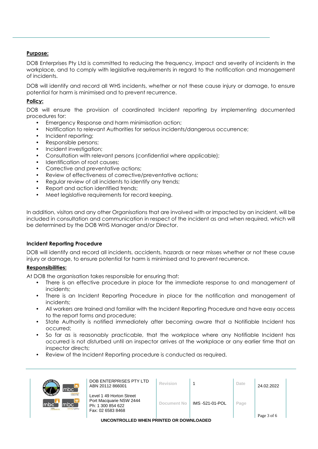## **Purpose:**

DOB Enterprises Pty Ltd is committed to reducing the frequency, impact and severity of incidents in the workplace, and to comply with legislative requirements in regard to the notification and management of incidents.

DOB will identify and record all WHS incidents, whether or not these cause injury or damage, to ensure potential for harm is minimised and to prevent recurrence.

## **Policy:**

DOB will ensure the provision of coordinated Incident reporting by implementing documented procedures for:

- Emergency Response and harm minimisation action;
- Notification to relevant Authorities for serious incidents/dangerous occurrence;
- Incident reporting;
- Responsible persons;
- Incident investigation;
- Consultation with relevant persons (confidential where applicable);
- Identification of root causes;
- Corrective and preventative actions;
- Review of effectiveness of corrective/preventative actions;
- Regular review of all incidents to identify any trends;
- Report and action identified trends;
- Meet legislative requirements for record keeping.

In addition, visitors and any other Organisations that are involved with or impacted by an incident, will be included in consultation and communication in respect of the incident as and when required, which will be determined by the DOB WHS Manager and/or Director.

#### **Incident Reporting Procedure**

DOB will identify and record all incidents, accidents, hazards or near misses whether or not these cause injury or damage, to ensure potential for harm is minimised and to prevent recurrence.

#### **Responsibilities:**

At DOB the organisation takes responsible for ensuring that:

- There is an effective procedure in place for the immediate response to and management of incidents;
- There is an Incident Reporting Procedure in place for the notification and management of incidents;
- All workers are trained and familiar with the Incident Reporting Procedure and have easy access to the report forms and procedure;
- State Authority is notified immediately after becoming aware that a Notifiable Incident has occurred;
- So far as is reasonably practicable, that the workplace where any Notifiable Incident has occurred is not disturbed until an inspector arrives at the workplace or any earlier time that an inspector directs;
- Review of the Incident Reporting procedure is conducted as required.

| $mbc^-$                                                      | DOB ENTERPRISES PTY LTD<br>ABN 20112 866001                                                   | <b>Revision</b> |                 | Date | 24.02.2022  |
|--------------------------------------------------------------|-----------------------------------------------------------------------------------------------|-----------------|-----------------|------|-------------|
| <b>Icloour hire</b><br>mbc<br>mbc`<br>mtc.<br>sursing agency | Level 1 49 Horton Street<br>Port Macquarie NSW 2444<br>Ph: 1 300 854 622<br>Fax: 02 6583 8468 | Document No     | IMS -521-01-POL | Page | Page 3 of 6 |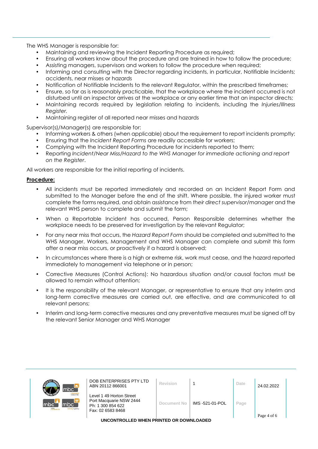The WHS Manager is responsible for:

- Maintaining and reviewing the Incident Reporting Procedure as required;
- Ensuring all workers know about the procedure and are trained in how to follow the procedure;
- Assisting managers, supervisors and workers to follow the procedure when required;
- Informing and consulting with the Director regarding incidents, in particular, Notifiable Incidents; accidents, near misses or hazards
- Notification of Notifiable Incidents to the relevant Regulator, within the prescribed timeframes;
- Ensure, so far as is reasonably practicable, that the workplace where the incident occurred is not disturbed until an inspector arrives at the workplace or any earlier time that an inspector directs;
- Maintaining records required by legislation relating to incidents, including the *Injuries/Illness Register.*
- Maintaining register of all reported near misses and hazards

Supervisor(s)/Manager(s) are responsible for:

- Informing workers & others (when applicable) about the requirement to report incidents promptly;
- Ensuring that the *Incident Report Forms* are readily accessible for workers;
- Complying with the Incident Reporting Procedure for incidents reported to them;
- Reporting *Incident/Near Miss/Hazard to the WHS Manager for immediate actioning and report on the Register*.

All workers are responsible for the initial reporting of incidents.

## **Procedure:**

- All incidents must be reported immediately and recorded on an Incident Report Form and submitted to the Manager before the end of the shift. Where possible, the injured worker must complete the forms required, and obtain assistance from *their direct supervisor/manager* and the relevant WHS person to complete and submit the form;
- When a Reportable Incident has occurred, Person Responsible determines whether the workplace needs to be preserved for investigation by the relevant Regulator;
- For any near miss that occurs, the *Hazard Report Form* should be completed and submitted to the WHS Manager. Workers, Management and WHS Manager can complete and submit this form after a near miss occurs, or proactively if a hazard is observed;
- In circumstances where there is a high or extreme risk, work must cease, and the hazard reported immediately to management via telephone or in person;
- Corrective Measures (Control Actions): No hazardous situation and/or causal factors must be allowed to remain without attention;
- It is the responsibility of the relevant Manager, or representative to ensure that any interim and long-term corrective measures are carried out, are effective, and are communicated to all relevant persons;
- Interim and long-term corrective measures and any preventative measures must be signed off by the relevant Senior Manager and WHS Manager

| mbc <sup>-</sup>                                                        | DOB ENTERPRISES PTY LTD<br>ABN 20112 866001                                                   | Revision    |                 | Date | 24.02.2022  |
|-------------------------------------------------------------------------|-----------------------------------------------------------------------------------------------|-------------|-----------------|------|-------------|
| <b>Icloour hire</b><br>lmbc<br>mbc<br>m <sub>tc</sub><br>tursing agency | Level 1 49 Horton Street<br>Port Macquarie NSW 2444<br>Ph: 1 300 854 622<br>Fax: 02 6583 8468 | Document No | IMS -521-01-POL | Page | Page 4 of 6 |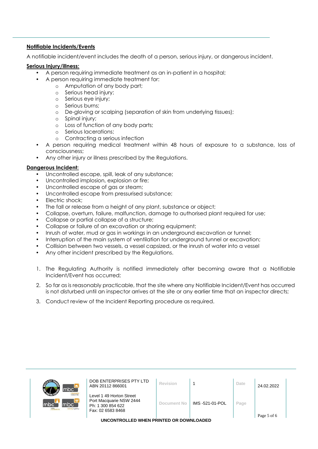## **Notifiable Incidents/Events**

A notifiable incident/event includes the death of a person, serious injury, or dangerous incident.

#### **Serious Injury/illness:**

- A person requiring immediate treatment as an in-patient in a hospital;
	- A person requiring immediate treatment for:
		- o Amputation of any body part;
		- o Serious head injury;
		- o Serious eye injury;
		- o Serious burns;
		- o De-gloving or scalping (separation of skin from underlying tissues);
		- o Spinal injury;
		- o Loss of function of any body parts;
		- o Serious lacerations;
		- o Contracting a serious infection
- A person requiring medical treatment within 48 hours of exposure to a substance, loss of consciousness;
- Any other injury or illness prescribed by the Regulations.

## **Dangerous Incident:**

 $\mathsf{m}$ 

- Uncontrolled escape, spill, leak of any substance;
- Uncontrolled implosion, explosion or fire;
- Uncontrolled escape of gas or steam;
- Uncontrolled escape from pressurised substance;
- Electric shock;
- The fall or release from a height of any plant, substance or object;
- Collapse, overturn, failure, malfunction, damage to authorised plant required for use;
- Collapse or partial collapse of a structure;
- Collapse or failure of an excavation or shoring equipment;
- Inrush of water, mud or gas in workings in an underground excavation or tunnel;
- Interruption of the main system of ventilation for underground tunnel or excavation;
- Collision between two vessels, a vessel capsized, or the inrush of water into a vessel
- Any other incident prescribed by the Regulations.
- 1. The Regulating Authority is notified immediately after becoming aware that a Notifiable Incident/Event has occurred;
- 2. So far as is reasonably practicable, that the site where any Notifiable Incident/Event has occurred is not disturbed until an inspector arrives at the site or any earlier time that an inspector directs;
- 3. Conduct review of the Incident Reporting procedure as required.

| <b>GUITA</b><br>mbc7                                                   | DOB ENTERPRISES PTY LTD<br>ABN 20112 866001                                                   | Revision    |                 | Date | 24.02.2022  |  |
|------------------------------------------------------------------------|-----------------------------------------------------------------------------------------------|-------------|-----------------|------|-------------|--|
| <b>Icloour hire</b><br>bc<br>mbci<br>m <sub>bc</sub><br>nursing agency | Level 1 49 Horton Street<br>Port Macquarie NSW 2444<br>Ph: 1 300 854 622<br>Fax: 02 6583 8468 | Document No | IMS -521-01-POL | Page | Page 5 of 6 |  |